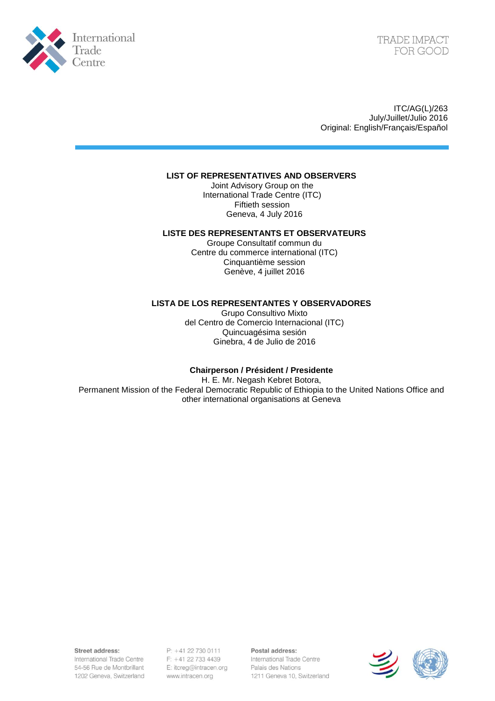

ITC/AG(L)/263 July/Juillet/Julio 2016 Original: English/Français/Español

## **LIST OF REPRESENTATIVES AND OBSERVERS**

Joint Advisory Group on the International Trade Centre (ITC) Fiftieth session Geneva, 4 July 2016

## **LISTE DES REPRESENTANTS ET OBSERVATEURS**

Groupe Consultatif commun du Centre du commerce international (ITC) Cinquantième session Genève, 4 juillet 2016

## **LISTA DE LOS REPRESENTANTES Y OBSERVADORES**

Grupo Consultivo Mixto del Centro de Comercio Internacional (ITC) Quincuagésima sesión Ginebra, 4 de Julio de 2016

## **Chairperson / Président / Presidente**

H. E. Mr. Negash Kebret Botora, Permanent Mission of the Federal Democratic Republic of Ethiopia to the United Nations Office and other international organisations at Geneva

Street address:

International Trade Centre 54-56 Rue de Montbrillant 1202 Geneva, Switzerland P: +41 22 730 0111 F: +41 22 733 4439 E: itcreg@intracen.org www.intracen.org

Postal address: International Trade Centre Palais des Nations 1211 Geneva 10, Switzerland

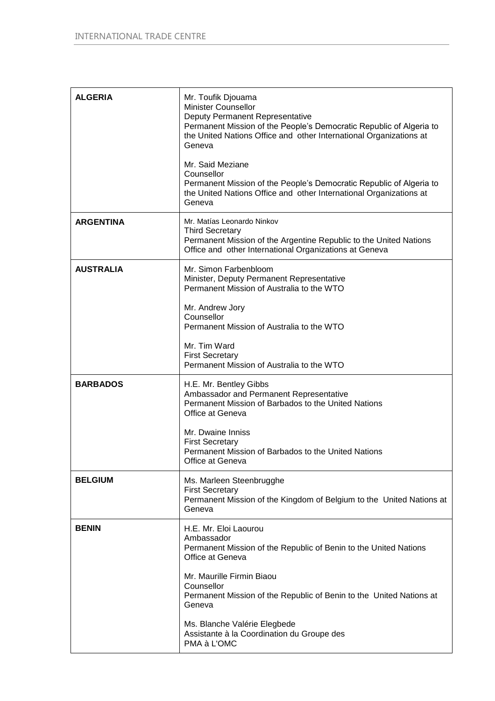| <b>ALGERIA</b>   | Mr. Toufik Djouama<br><b>Minister Counsellor</b><br>Deputy Permanent Representative<br>Permanent Mission of the People's Democratic Republic of Algeria to<br>the United Nations Office and other International Organizations at<br>Geneva<br>Mr. Said Meziane<br>Counsellor<br>Permanent Mission of the People's Democratic Republic of Algeria to |
|------------------|-----------------------------------------------------------------------------------------------------------------------------------------------------------------------------------------------------------------------------------------------------------------------------------------------------------------------------------------------------|
|                  | the United Nations Office and other International Organizations at<br>Geneva                                                                                                                                                                                                                                                                        |
| <b>ARGENTINA</b> | Mr. Matías Leonardo Ninkov<br><b>Third Secretary</b><br>Permanent Mission of the Argentine Republic to the United Nations<br>Office and other International Organizations at Geneva                                                                                                                                                                 |
| <b>AUSTRALIA</b> | Mr. Simon Farbenbloom<br>Minister, Deputy Permanent Representative<br>Permanent Mission of Australia to the WTO                                                                                                                                                                                                                                     |
|                  | Mr. Andrew Jory<br>Counsellor<br>Permanent Mission of Australia to the WTO                                                                                                                                                                                                                                                                          |
|                  | Mr. Tim Ward<br><b>First Secretary</b><br>Permanent Mission of Australia to the WTO                                                                                                                                                                                                                                                                 |
| <b>BARBADOS</b>  | H.E. Mr. Bentley Gibbs<br>Ambassador and Permanent Representative<br>Permanent Mission of Barbados to the United Nations<br>Office at Geneva                                                                                                                                                                                                        |
|                  | Mr. Dwaine Inniss<br><b>First Secretary</b><br>Permanent Mission of Barbados to the United Nations<br>Office at Geneva                                                                                                                                                                                                                              |
| <b>BELGIUM</b>   | Ms. Marleen Steenbrugghe<br><b>First Secretary</b><br>Permanent Mission of the Kingdom of Belgium to the United Nations at<br>Geneva                                                                                                                                                                                                                |
| <b>BENIN</b>     | H.E. Mr. Eloi Laourou<br>Ambassador<br>Permanent Mission of the Republic of Benin to the United Nations<br>Office at Geneva                                                                                                                                                                                                                         |
|                  | Mr. Maurille Firmin Biaou<br>Counsellor<br>Permanent Mission of the Republic of Benin to the United Nations at<br>Geneva                                                                                                                                                                                                                            |
|                  | Ms. Blanche Valérie Elegbede<br>Assistante à la Coordination du Groupe des<br>PMA à L'OMC                                                                                                                                                                                                                                                           |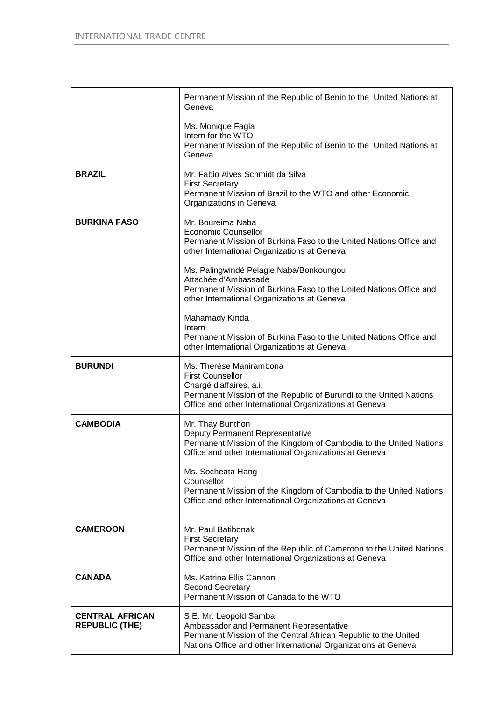|                                                 | Permanent Mission of the Republic of Benin to the United Nations at<br>Geneva                                                                                                                                                                                                                                                                                |
|-------------------------------------------------|--------------------------------------------------------------------------------------------------------------------------------------------------------------------------------------------------------------------------------------------------------------------------------------------------------------------------------------------------------------|
|                                                 | Ms. Monique Fagla<br>Intern for the WTO<br>Permanent Mission of the Republic of Benin to the United Nations at<br>Geneva                                                                                                                                                                                                                                     |
| <b>BRAZIL</b>                                   | Mr. Fabio Alves Schmidt da Silva<br><b>First Secretary</b><br>Permanent Mission of Brazil to the WTO and other Economic<br>Organizations in Geneva                                                                                                                                                                                                           |
| <b>BURKINA FASO</b>                             | Mr. Boureima Naba<br><b>Economic Counsellor</b><br>Permanent Mission of Burkina Faso to the United Nations Office and<br>other International Organizations at Geneva<br>Ms. Palingwindé Pélagie Naba/Bonkoungou<br>Attachée d'Ambassade<br>Permanent Mission of Burkina Faso to the United Nations Office and<br>other International Organizations at Geneva |
|                                                 | Mahamady Kinda<br>Intern<br>Permanent Mission of Burkina Faso to the United Nations Office and<br>other International Organizations at Geneva                                                                                                                                                                                                                |
| <b>BURUNDI</b>                                  | Ms. Thérèse Manirambona<br><b>First Counsellor</b><br>Chargé d'affaires, a.i.<br>Permanent Mission of the Republic of Burundi to the United Nations<br>Office and other International Organizations at Geneva                                                                                                                                                |
| <b>CAMBODIA</b>                                 | Mr. Thay Bunthon<br>Deputy Permanent Representative<br>Permanent Mission of the Kingdom of Cambodia to the United Nations<br>Office and other International Organizations at Geneva<br>Ms. Socheata Hang<br>Counsellor<br>Permanent Mission of the Kingdom of Cambodia to the United Nations<br>Office and other International Organizations at Geneva       |
| <b>CAMEROON</b>                                 | Mr. Paul Batibonak<br><b>First Secretary</b><br>Permanent Mission of the Republic of Cameroon to the United Nations<br>Office and other International Organizations at Geneva                                                                                                                                                                                |
| <b>CANADA</b>                                   | Ms. Katrina Ellis Cannon<br>Second Secretary<br>Permanent Mission of Canada to the WTO                                                                                                                                                                                                                                                                       |
| <b>CENTRAL AFRICAN</b><br><b>REPUBLIC (THE)</b> | S.E. Mr. Leopold Samba<br>Ambassador and Permanent Representative<br>Permanent Mission of the Central African Republic to the United<br>Nations Office and other International Organizations at Geneva                                                                                                                                                       |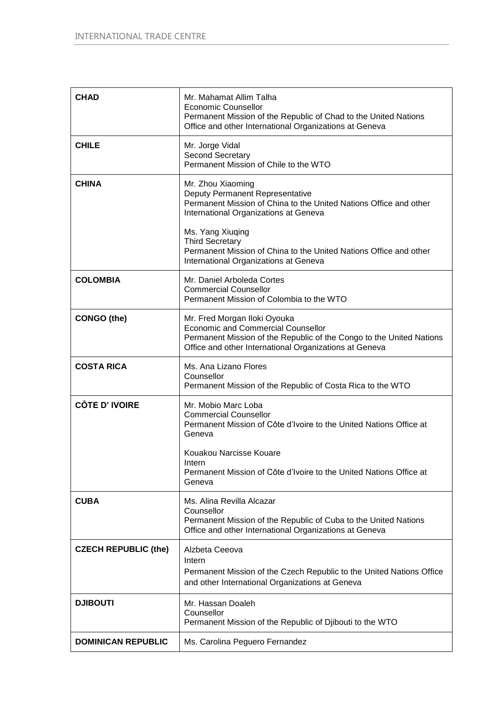| <b>CHAD</b>                 | Mr. Mahamat Allim Talha<br><b>Economic Counsellor</b><br>Permanent Mission of the Republic of Chad to the United Nations<br>Office and other International Organizations at Geneva                          |
|-----------------------------|-------------------------------------------------------------------------------------------------------------------------------------------------------------------------------------------------------------|
| <b>CHILE</b>                | Mr. Jorge Vidal<br>Second Secretary<br>Permanent Mission of Chile to the WTO                                                                                                                                |
| <b>CHINA</b>                | Mr. Zhou Xiaoming<br>Deputy Permanent Representative<br>Permanent Mission of China to the United Nations Office and other<br>International Organizations at Geneva                                          |
|                             | Ms. Yang Xiuqing<br><b>Third Secretary</b><br>Permanent Mission of China to the United Nations Office and other<br>International Organizations at Geneva                                                    |
| <b>COLOMBIA</b>             | Mr. Daniel Arboleda Cortes<br><b>Commercial Counsellor</b><br>Permanent Mission of Colombia to the WTO                                                                                                      |
| CONGO (the)                 | Mr. Fred Morgan Iloki Oyouka<br><b>Economic and Commercial Counsellor</b><br>Permanent Mission of the Republic of the Congo to the United Nations<br>Office and other International Organizations at Geneva |
| <b>COSTA RICA</b>           | Ms. Ana Lizano Flores<br>Counsellor<br>Permanent Mission of the Republic of Costa Rica to the WTO                                                                                                           |
| <b>CÔTE D' IVOIRE</b>       | Mr. Mobio Marc Loba<br><b>Commercial Counsellor</b><br>Permanent Mission of Côte d'Ivoire to the United Nations Office at<br>Geneva                                                                         |
|                             | Kouakou Narcisse Kouare<br>Intern<br>Permanent Mission of Côte d'Ivoire to the United Nations Office at<br>Geneva                                                                                           |
| <b>CUBA</b>                 | Ms. Alina Revilla Alcazar<br>Counsellor<br>Permanent Mission of the Republic of Cuba to the United Nations<br>Office and other International Organizations at Geneva                                        |
| <b>CZECH REPUBLIC (the)</b> | Alzbeta Ceeova<br>Intern<br>Permanent Mission of the Czech Republic to the United Nations Office<br>and other International Organizations at Geneva                                                         |
| <b>DJIBOUTI</b>             | Mr. Hassan Doaleh<br>Counsellor<br>Permanent Mission of the Republic of Djibouti to the WTO                                                                                                                 |
| <b>DOMINICAN REPUBLIC</b>   | Ms. Carolina Peguero Fernandez                                                                                                                                                                              |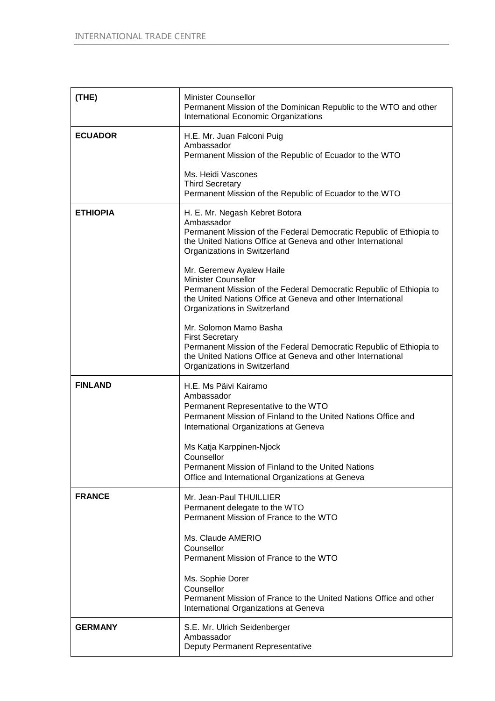| (THE)           | <b>Minister Counsellor</b><br>Permanent Mission of the Dominican Republic to the WTO and other<br>International Economic Organizations                                                                                                                                                                                                                                                                                                                                                                                                                                                                                                                                       |
|-----------------|------------------------------------------------------------------------------------------------------------------------------------------------------------------------------------------------------------------------------------------------------------------------------------------------------------------------------------------------------------------------------------------------------------------------------------------------------------------------------------------------------------------------------------------------------------------------------------------------------------------------------------------------------------------------------|
| <b>ECUADOR</b>  | H.E. Mr. Juan Falconi Puig<br>Ambassador<br>Permanent Mission of the Republic of Ecuador to the WTO<br>Ms. Heidi Vascones<br><b>Third Secretary</b><br>Permanent Mission of the Republic of Ecuador to the WTO                                                                                                                                                                                                                                                                                                                                                                                                                                                               |
| <b>ETHIOPIA</b> | H. E. Mr. Negash Kebret Botora<br>Ambassador<br>Permanent Mission of the Federal Democratic Republic of Ethiopia to<br>the United Nations Office at Geneva and other International<br>Organizations in Switzerland<br>Mr. Geremew Ayalew Haile<br><b>Minister Counsellor</b><br>Permanent Mission of the Federal Democratic Republic of Ethiopia to<br>the United Nations Office at Geneva and other International<br>Organizations in Switzerland<br>Mr. Solomon Mamo Basha<br><b>First Secretary</b><br>Permanent Mission of the Federal Democratic Republic of Ethiopia to<br>the United Nations Office at Geneva and other International<br>Organizations in Switzerland |
| <b>FINLAND</b>  | H.E. Ms Päivi Kairamo<br>Ambassador<br>Permanent Representative to the WTO<br>Permanent Mission of Finland to the United Nations Office and<br>International Organizations at Geneva<br>Ms Katja Karppinen-Njock<br>Counsellor<br>Permanent Mission of Finland to the United Nations<br>Office and International Organizations at Geneva                                                                                                                                                                                                                                                                                                                                     |
| <b>FRANCE</b>   | Mr. Jean-Paul THUILLIER<br>Permanent delegate to the WTO<br>Permanent Mission of France to the WTO<br>Ms. Claude AMERIO<br>Counsellor<br>Permanent Mission of France to the WTO<br>Ms. Sophie Dorer<br>Counsellor<br>Permanent Mission of France to the United Nations Office and other<br>International Organizations at Geneva                                                                                                                                                                                                                                                                                                                                             |
| <b>GERMANY</b>  | S.E. Mr. Ulrich Seidenberger<br>Ambassador<br>Deputy Permanent Representative                                                                                                                                                                                                                                                                                                                                                                                                                                                                                                                                                                                                |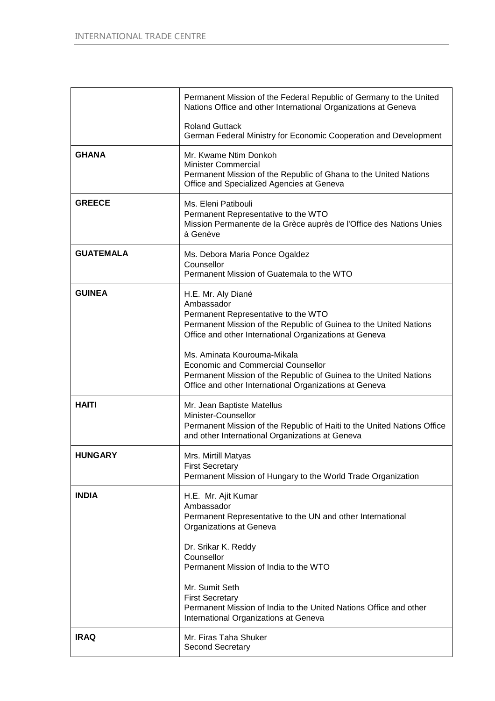|                  | Permanent Mission of the Federal Republic of Germany to the United<br>Nations Office and other International Organizations at Geneva                                                                                                  |
|------------------|---------------------------------------------------------------------------------------------------------------------------------------------------------------------------------------------------------------------------------------|
|                  | <b>Roland Guttack</b><br>German Federal Ministry for Economic Cooperation and Development                                                                                                                                             |
| <b>GHANA</b>     | Mr. Kwame Ntim Donkoh<br><b>Minister Commercial</b><br>Permanent Mission of the Republic of Ghana to the United Nations<br>Office and Specialized Agencies at Geneva                                                                  |
| <b>GREECE</b>    | Ms. Eleni Patibouli<br>Permanent Representative to the WTO<br>Mission Permanente de la Grèce auprès de l'Office des Nations Unies<br>à Genève                                                                                         |
| <b>GUATEMALA</b> | Ms. Debora Maria Ponce Ogaldez<br>Counsellor<br>Permanent Mission of Guatemala to the WTO                                                                                                                                             |
| <b>GUINEA</b>    | H.E. Mr. Aly Diané<br>Ambassador<br>Permanent Representative to the WTO<br>Permanent Mission of the Republic of Guinea to the United Nations<br>Office and other International Organizations at Geneva<br>Ms. Aminata Kourouma-Mikala |
|                  | <b>Economic and Commercial Counsellor</b><br>Permanent Mission of the Republic of Guinea to the United Nations<br>Office and other International Organizations at Geneva                                                              |
| <b>HAITI</b>     | Mr. Jean Baptiste Matellus<br>Minister-Counsellor<br>Permanent Mission of the Republic of Haiti to the United Nations Office<br>and other International Organizations at Geneva                                                       |
| <b>HUNGARY</b>   | Mrs. Mirtill Matyas<br><b>First Secretary</b><br>Permanent Mission of Hungary to the World Trade Organization                                                                                                                         |
| <b>INDIA</b>     | H.E. Mr. Ajit Kumar<br>Ambassador<br>Permanent Representative to the UN and other International<br>Organizations at Geneva                                                                                                            |
|                  | Dr. Srikar K. Reddy<br>Counsellor<br>Permanent Mission of India to the WTO                                                                                                                                                            |
|                  | Mr. Sumit Seth<br><b>First Secretary</b><br>Permanent Mission of India to the United Nations Office and other<br>International Organizations at Geneva                                                                                |
| <b>IRAQ</b>      | Mr. Firas Taha Shuker<br>Second Secretary                                                                                                                                                                                             |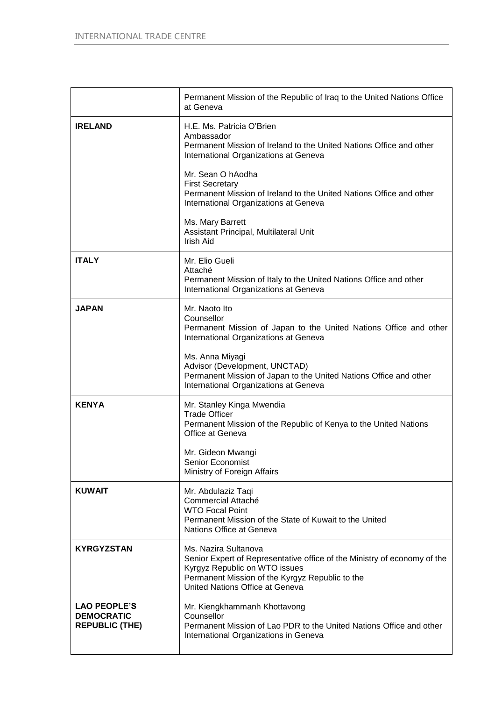|                                                                   | Permanent Mission of the Republic of Iraq to the United Nations Office<br>at Geneva                                                                                                                                     |
|-------------------------------------------------------------------|-------------------------------------------------------------------------------------------------------------------------------------------------------------------------------------------------------------------------|
| <b>IRELAND</b>                                                    | H.E. Ms. Patricia O'Brien<br>Ambassador<br>Permanent Mission of Ireland to the United Nations Office and other<br>International Organizations at Geneva                                                                 |
|                                                                   | Mr. Sean O hAodha<br><b>First Secretary</b><br>Permanent Mission of Ireland to the United Nations Office and other<br>International Organizations at Geneva                                                             |
|                                                                   | Ms. Mary Barrett<br>Assistant Principal, Multilateral Unit<br><b>Irish Aid</b>                                                                                                                                          |
| <b>ITALY</b>                                                      | Mr. Elio Gueli<br>Attaché<br>Permanent Mission of Italy to the United Nations Office and other<br>International Organizations at Geneva                                                                                 |
| <b>JAPAN</b>                                                      | Mr. Naoto Ito<br>Counsellor<br>Permanent Mission of Japan to the United Nations Office and other<br>International Organizations at Geneva                                                                               |
|                                                                   | Ms. Anna Miyagi<br>Advisor (Development, UNCTAD)<br>Permanent Mission of Japan to the United Nations Office and other<br>International Organizations at Geneva                                                          |
| <b>KENYA</b>                                                      | Mr. Stanley Kinga Mwendia<br><b>Trade Officer</b><br>Permanent Mission of the Republic of Kenya to the United Nations<br>Office at Geneva                                                                               |
|                                                                   | Mr. Gideon Mwangi<br>Senior Economist<br>Ministry of Foreign Affairs                                                                                                                                                    |
| <b>KUWAIT</b>                                                     | Mr. Abdulaziz Taqi<br>Commercial Attaché<br><b>WTO Focal Point</b><br>Permanent Mission of the State of Kuwait to the United<br>Nations Office at Geneva                                                                |
| <b>KYRGYZSTAN</b>                                                 | Ms. Nazira Sultanova<br>Senior Expert of Representative office of the Ministry of economy of the<br>Kyrgyz Republic on WTO issues<br>Permanent Mission of the Kyrgyz Republic to the<br>United Nations Office at Geneva |
| <b>LAO PEOPLE'S</b><br><b>DEMOCRATIC</b><br><b>REPUBLIC (THE)</b> | Mr. Kiengkhammanh Khottavong<br>Counsellor<br>Permanent Mission of Lao PDR to the United Nations Office and other<br>International Organizations in Geneva                                                              |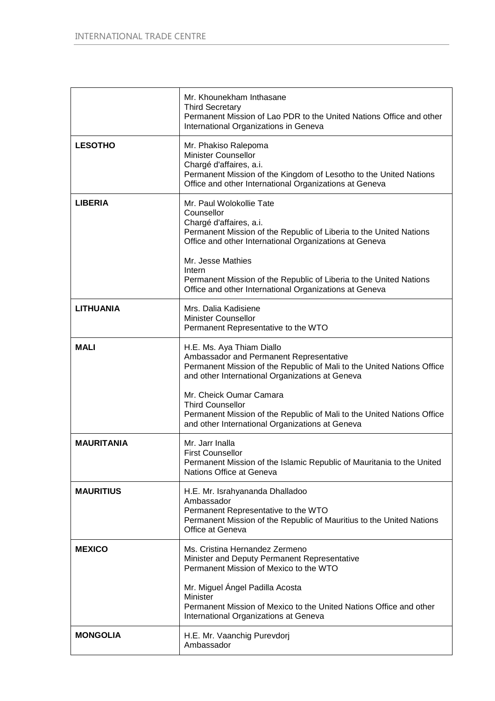|                   | Mr. Khounekham Inthasane<br><b>Third Secretary</b><br>Permanent Mission of Lao PDR to the United Nations Office and other<br>International Organizations in Geneva                                           |
|-------------------|--------------------------------------------------------------------------------------------------------------------------------------------------------------------------------------------------------------|
| <b>LESOTHO</b>    | Mr. Phakiso Ralepoma<br><b>Minister Counsellor</b><br>Chargé d'affaires, a.i.<br>Permanent Mission of the Kingdom of Lesotho to the United Nations<br>Office and other International Organizations at Geneva |
| <b>LIBERIA</b>    | Mr. Paul Wolokollie Tate<br>Counsellor<br>Chargé d'affaires, a.i.<br>Permanent Mission of the Republic of Liberia to the United Nations<br>Office and other International Organizations at Geneva            |
|                   | Mr. Jesse Mathies<br>Intern<br>Permanent Mission of the Republic of Liberia to the United Nations<br>Office and other International Organizations at Geneva                                                  |
| <b>LITHUANIA</b>  | Mrs. Dalia Kadisiene<br><b>Minister Counsellor</b><br>Permanent Representative to the WTO                                                                                                                    |
| <b>MALI</b>       | H.E. Ms. Aya Thiam Diallo<br>Ambassador and Permanent Representative<br>Permanent Mission of the Republic of Mali to the United Nations Office<br>and other International Organizations at Geneva            |
|                   | Mr. Cheick Oumar Camara<br><b>Third Counsellor</b><br>Permanent Mission of the Republic of Mali to the United Nations Office<br>and other International Organizations at Geneva                              |
| <b>MAURITANIA</b> | Mr. Jarr Inalla<br><b>First Counsellor</b><br>Permanent Mission of the Islamic Republic of Mauritania to the United<br>Nations Office at Geneva                                                              |
| <b>MAURITIUS</b>  | H.E. Mr. Israhyananda Dhalladoo<br>Ambassador<br>Permanent Representative to the WTO<br>Permanent Mission of the Republic of Mauritius to the United Nations<br>Office at Geneva                             |
| <b>MEXICO</b>     | Ms. Cristina Hernandez Zermeno<br>Minister and Deputy Permanent Representative<br>Permanent Mission of Mexico to the WTO                                                                                     |
|                   | Mr. Miguel Ángel Padilla Acosta<br>Minister<br>Permanent Mission of Mexico to the United Nations Office and other<br>International Organizations at Geneva                                                   |
| <b>MONGOLIA</b>   | H.E. Mr. Vaanchig Purevdorj<br>Ambassador                                                                                                                                                                    |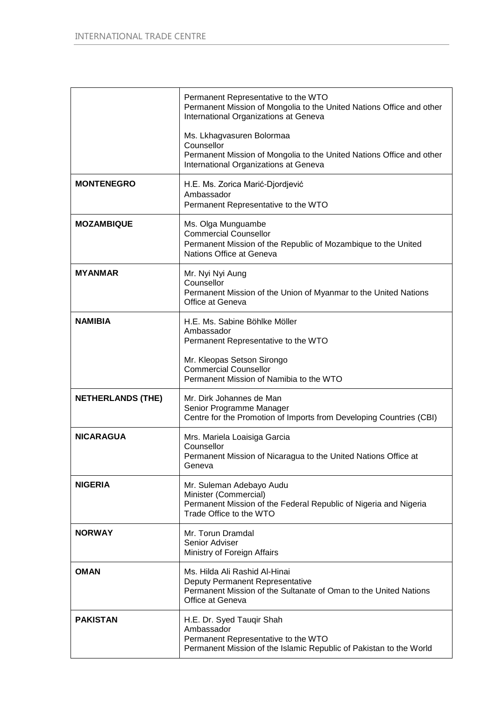|                          | Permanent Representative to the WTO<br>Permanent Mission of Mongolia to the United Nations Office and other<br>International Organizations at Geneva     |
|--------------------------|----------------------------------------------------------------------------------------------------------------------------------------------------------|
|                          | Ms. Lkhagvasuren Bolormaa<br>Counsellor<br>Permanent Mission of Mongolia to the United Nations Office and other<br>International Organizations at Geneva |
| <b>MONTENEGRO</b>        | H.E. Ms. Zorica Marić-Djordjević<br>Ambassador<br>Permanent Representative to the WTO                                                                    |
| <b>MOZAMBIQUE</b>        | Ms. Olga Munguambe<br><b>Commercial Counsellor</b><br>Permanent Mission of the Republic of Mozambique to the United<br>Nations Office at Geneva          |
| <b>MYANMAR</b>           | Mr. Nyi Nyi Aung<br>Counsellor<br>Permanent Mission of the Union of Myanmar to the United Nations<br>Office at Geneva                                    |
| <b>NAMIBIA</b>           | H.E. Ms. Sabine Böhlke Möller<br>Ambassador<br>Permanent Representative to the WTO                                                                       |
|                          | Mr. Kleopas Setson Sirongo<br><b>Commercial Counsellor</b><br>Permanent Mission of Namibia to the WTO                                                    |
| <b>NETHERLANDS (THE)</b> | Mr. Dirk Johannes de Man<br>Senior Programme Manager<br>Centre for the Promotion of Imports from Developing Countries (CBI)                              |
| <b>NICARAGUA</b>         | Mrs. Mariela Loaisiga Garcia<br>Counsellor<br>Permanent Mission of Nicaragua to the United Nations Office at<br>Geneva                                   |
| <b>NIGERIA</b>           | Mr. Suleman Adebayo Audu<br>Minister (Commercial)<br>Permanent Mission of the Federal Republic of Nigeria and Nigeria<br>Trade Office to the WTO         |
| <b>NORWAY</b>            | Mr. Torun Dramdal<br>Senior Adviser<br>Ministry of Foreign Affairs                                                                                       |
| <b>OMAN</b>              | Ms. Hilda Ali Rashid Al-Hinai<br>Deputy Permanent Representative<br>Permanent Mission of the Sultanate of Oman to the United Nations<br>Office at Geneva |
| <b>PAKISTAN</b>          | H.E. Dr. Syed Tauqir Shah<br>Ambassador<br>Permanent Representative to the WTO<br>Permanent Mission of the Islamic Republic of Pakistan to the World     |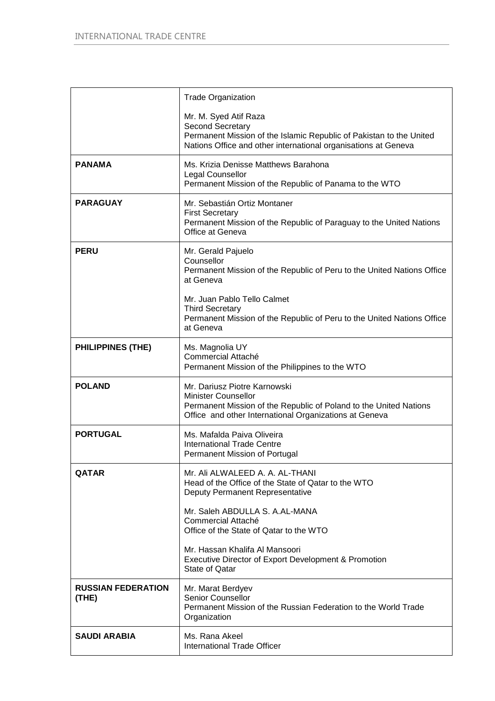|                                    | <b>Trade Organization</b>                                                                                                                                                                                                                                  |
|------------------------------------|------------------------------------------------------------------------------------------------------------------------------------------------------------------------------------------------------------------------------------------------------------|
|                                    | Mr. M. Syed Atif Raza<br>Second Secretary<br>Permanent Mission of the Islamic Republic of Pakistan to the United<br>Nations Office and other international organisations at Geneva                                                                         |
| <b>PANAMA</b>                      | Ms. Krizia Denisse Matthews Barahona<br>Legal Counsellor<br>Permanent Mission of the Republic of Panama to the WTO                                                                                                                                         |
| <b>PARAGUAY</b>                    | Mr. Sebastián Ortiz Montaner<br><b>First Secretary</b><br>Permanent Mission of the Republic of Paraguay to the United Nations<br>Office at Geneva                                                                                                          |
| <b>PERU</b>                        | Mr. Gerald Pajuelo<br>Counsellor<br>Permanent Mission of the Republic of Peru to the United Nations Office<br>at Geneva<br>Mr. Juan Pablo Tello Calmet<br><b>Third Secretary</b><br>Permanent Mission of the Republic of Peru to the United Nations Office |
|                                    | at Geneva                                                                                                                                                                                                                                                  |
| <b>PHILIPPINES (THE)</b>           | Ms. Magnolia UY<br>Commercial Attaché<br>Permanent Mission of the Philippines to the WTO                                                                                                                                                                   |
| <b>POLAND</b>                      | Mr. Dariusz Piotre Karnowski<br><b>Minister Counsellor</b><br>Permanent Mission of the Republic of Poland to the United Nations<br>Office and other International Organizations at Geneva                                                                  |
| <b>PORTUGAL</b>                    | Ms. Mafalda Paiva Oliveira<br><b>International Trade Centre</b><br>Permanent Mission of Portugal                                                                                                                                                           |
| <b>QATAR</b>                       | Mr. Ali ALWALEED A. A. AL-THANI<br>Head of the Office of the State of Qatar to the WTO<br>Deputy Permanent Representative                                                                                                                                  |
|                                    | Mr. Saleh ABDULLA S. A.AL-MANA<br>Commercial Attaché<br>Office of the State of Qatar to the WTO                                                                                                                                                            |
|                                    | Mr. Hassan Khalifa Al Mansoori<br>Executive Director of Export Development & Promotion<br>State of Qatar                                                                                                                                                   |
| <b>RUSSIAN FEDERATION</b><br>(THE) | Mr. Marat Berdyev<br><b>Senior Counsellor</b><br>Permanent Mission of the Russian Federation to the World Trade<br>Organization                                                                                                                            |
| <b>SAUDI ARABIA</b>                | Ms. Rana Akeel<br><b>International Trade Officer</b>                                                                                                                                                                                                       |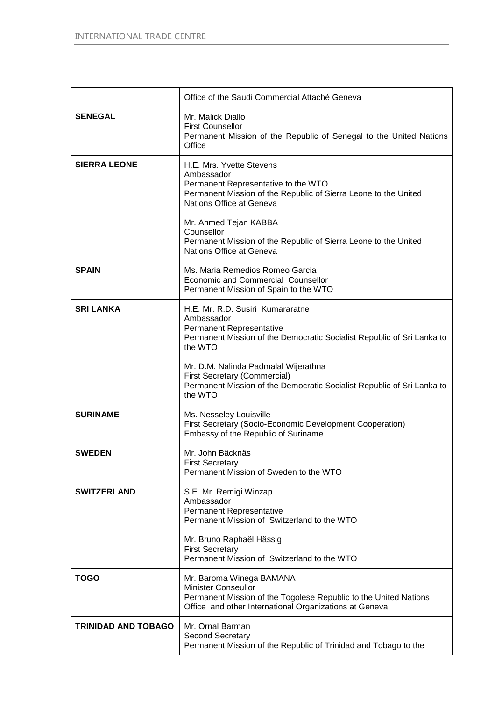|                            | Office of the Saudi Commercial Attaché Geneva                                                                                                                                                                                                                                                                                       |
|----------------------------|-------------------------------------------------------------------------------------------------------------------------------------------------------------------------------------------------------------------------------------------------------------------------------------------------------------------------------------|
| <b>SENEGAL</b>             | Mr. Malick Diallo<br><b>First Counsellor</b><br>Permanent Mission of the Republic of Senegal to the United Nations<br>Office                                                                                                                                                                                                        |
| <b>SIERRA LEONE</b>        | H.E. Mrs. Yvette Stevens<br>Ambassador<br>Permanent Representative to the WTO<br>Permanent Mission of the Republic of Sierra Leone to the United<br>Nations Office at Geneva<br>Mr. Ahmed Tejan KABBA<br>Counsellor<br>Permanent Mission of the Republic of Sierra Leone to the United<br>Nations Office at Geneva                  |
| <b>SPAIN</b>               | Ms. Maria Remedios Romeo Garcia<br><b>Economic and Commercial Counsellor</b><br>Permanent Mission of Spain to the WTO                                                                                                                                                                                                               |
| <b>SRI LANKA</b>           | H.E. Mr. R.D. Susiri Kumararatne<br>Ambassador<br>Permanent Representative<br>Permanent Mission of the Democratic Socialist Republic of Sri Lanka to<br>the WTO<br>Mr. D.M. Nalinda Padmalal Wijerathna<br><b>First Secretary (Commercial)</b><br>Permanent Mission of the Democratic Socialist Republic of Sri Lanka to<br>the WTO |
| <b>SURINAME</b>            | Ms. Nesseley Louisville<br>First Secretary (Socio-Economic Development Cooperation)<br>Embassy of the Republic of Suriname                                                                                                                                                                                                          |
| <b>SWEDEN</b>              | Mr. John Bäcknäs<br><b>First Secretary</b><br>Permanent Mission of Sweden to the WTO                                                                                                                                                                                                                                                |
| <b>SWITZERLAND</b>         | S.E. Mr. Remigi Winzap<br>Ambassador<br>Permanent Representative<br>Permanent Mission of Switzerland to the WTO<br>Mr. Bruno Raphaël Hässig<br><b>First Secretary</b><br>Permanent Mission of Switzerland to the WTO                                                                                                                |
| <b>TOGO</b>                | Mr. Baroma Winega BAMANA<br><b>Minister Conseullor</b><br>Permanent Mission of the Togolese Republic to the United Nations<br>Office and other International Organizations at Geneva                                                                                                                                                |
| <b>TRINIDAD AND TOBAGO</b> | Mr. Ornal Barman<br><b>Second Secretary</b><br>Permanent Mission of the Republic of Trinidad and Tobago to the                                                                                                                                                                                                                      |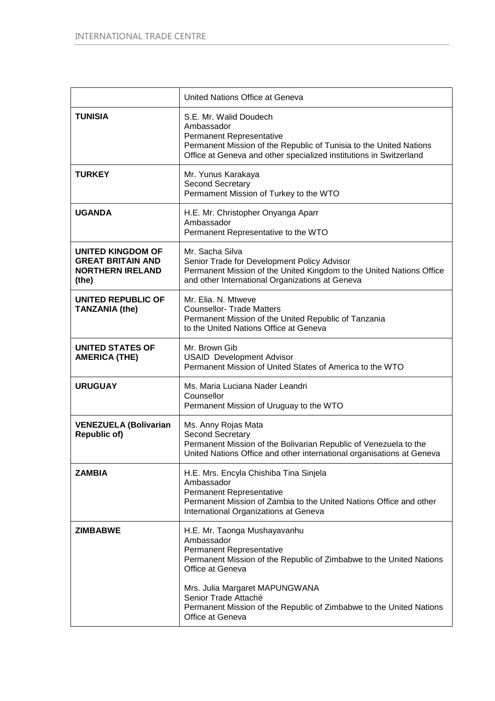|                                                                                   | United Nations Office at Geneva                                                                                                                                                                              |
|-----------------------------------------------------------------------------------|--------------------------------------------------------------------------------------------------------------------------------------------------------------------------------------------------------------|
| <b>TUNISIA</b>                                                                    | S.E. Mr. Walid Doudech<br>Ambassador<br>Permanent Representative<br>Permanent Mission of the Republic of Tunisia to the United Nations<br>Office at Geneva and other specialized institutions in Switzerland |
| <b>TURKEY</b>                                                                     | Mr. Yunus Karakaya<br><b>Second Secretary</b><br>Permament Mission of Turkey to the WTO                                                                                                                      |
| <b>UGANDA</b>                                                                     | H.E. Mr. Christopher Onyanga Aparr<br>Ambassador<br>Permanent Representative to the WTO                                                                                                                      |
| UNITED KINGDOM OF<br><b>GREAT BRITAIN AND</b><br><b>NORTHERN IRELAND</b><br>(the) | Mr. Sacha Silva<br>Senior Trade for Development Policy Advisor<br>Permanent Mission of the United Kingdom to the United Nations Office<br>and other International Organizations at Geneva                    |
| <b>UNITED REPUBLIC OF</b><br><b>TANZANIA (the)</b>                                | Mr. Elia. N. Mtweve<br><b>Counsellor- Trade Matters</b><br>Permanent Mission of the United Republic of Tanzania<br>to the United Nations Office at Geneva                                                    |
| <b>UNITED STATES OF</b><br><b>AMERICA (THE)</b>                                   | Mr. Brown Gib<br><b>USAID Development Advisor</b><br>Permanent Mission of United States of America to the WTO                                                                                                |
| <b>URUGUAY</b>                                                                    | Ms. Maria Luciana Nader Leandri<br>Counsellor<br>Permanent Mission of Uruguay to the WTO                                                                                                                     |
| <b>VENEZUELA (Bolivarian</b><br><b>Republic of)</b>                               | Ms. Anny Rojas Mata<br>Second Secretary<br>Permanent Mission of the Bolivarian Republic of Venezuela to the<br>United Nations Office and other international organisations at Geneva                         |
| ZAMBIA                                                                            | H.E. Mrs. Encyla Chishiba Tina Sinjela<br>Ambassador<br>Permanent Representative<br>Permanent Mission of Zambia to the United Nations Office and other<br>International Organizations at Geneva              |
| ZIMBABWE                                                                          | H.E. Mr. Taonga Mushayavanhu<br>Ambassador<br>Permanent Representative<br>Permanent Mission of the Republic of Zimbabwe to the United Nations<br>Office at Geneva                                            |
|                                                                                   | Mrs. Julia Margaret MAPUNGWANA<br>Senior Trade Attaché<br>Permanent Mission of the Republic of Zimbabwe to the United Nations<br>Office at Geneva                                                            |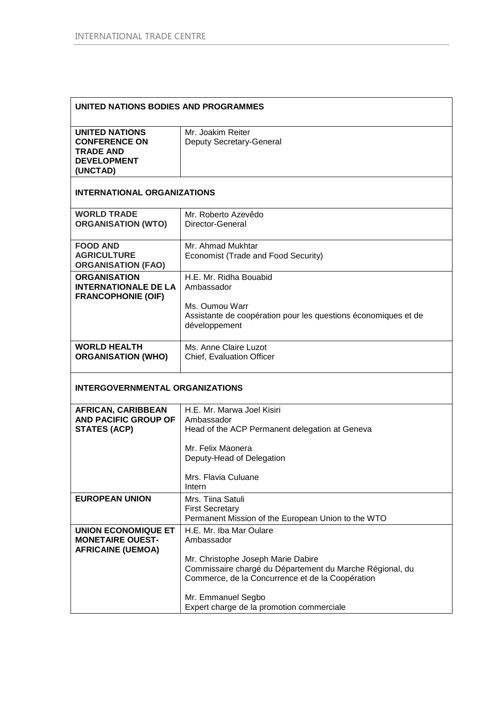| UNITED NATIONS BODIES AND PROGRAMMES                                                                |                                                                                                                                                                                             |  |
|-----------------------------------------------------------------------------------------------------|---------------------------------------------------------------------------------------------------------------------------------------------------------------------------------------------|--|
| <b>UNITED NATIONS</b><br><b>CONFERENCE ON</b><br><b>TRADE AND</b><br><b>DEVELOPMENT</b><br>(UNCTAD) | Mr. Joakim Reiter<br><b>Deputy Secretary-General</b>                                                                                                                                        |  |
| <b>INTERNATIONAL ORGANIZATIONS</b>                                                                  |                                                                                                                                                                                             |  |
| <b>WORLD TRADE</b><br><b>ORGANISATION (WTO)</b>                                                     | Mr. Roberto Azevêdo<br>Director-General                                                                                                                                                     |  |
| <b>FOOD AND</b><br><b>AGRICULTURE</b><br><b>ORGANISATION (FAO)</b>                                  | Mr. Ahmad Mukhtar<br>Economist (Trade and Food Security)                                                                                                                                    |  |
| <b>ORGANISATION</b><br><b>INTERNATIONALE DE LA</b><br><b>FRANCOPHONIE (OIF)</b>                     | H.E. Mr. Ridha Bouabid<br>Ambassador                                                                                                                                                        |  |
|                                                                                                     | Ms. Oumou Warr<br>Assistante de coopération pour les questions économiques et de<br>développement                                                                                           |  |
| <b>WORLD HEALTH</b><br><b>ORGANISATION (WHO)</b>                                                    | Ms. Anne Claire Luzot<br><b>Chief, Evaluation Officer</b>                                                                                                                                   |  |
| <b>INTERGOVERNMENTAL ORGANIZATIONS</b>                                                              |                                                                                                                                                                                             |  |
| <b>AFRICAN, CARIBBEAN</b><br><b>AND PACIFIC GROUP OF</b><br><b>STATES (ACP)</b>                     | H.E. Mr. Marwa Joel Kisiri<br>Ambassador<br>Head of the ACP Permanent delegation at Geneva<br>Mr. Felix Maonera<br>Deputy-Head of Delegation<br>Mrs. Flavia Culuane<br>Intern               |  |
| <b>EUROPEAN UNION</b>                                                                               | Mrs. Tiina Satuli<br><b>First Secretary</b><br>Permanent Mission of the European Union to the WTO                                                                                           |  |
| UNION ECONOMIQUE ET<br><b>MONETAIRE OUEST-</b><br><b>AFRICAINE (UEMOA)</b>                          | H.E. Mr. Iba Mar Oulare<br>Ambassador<br>Mr. Christophe Joseph Marie Dabire<br>Commissaire chargé du Département du Marche Régional, du<br>Commerce, de la Concurrence et de la Coopération |  |
|                                                                                                     | Mr. Emmanuel Segbo<br>Expert charge de la promotion commerciale                                                                                                                             |  |